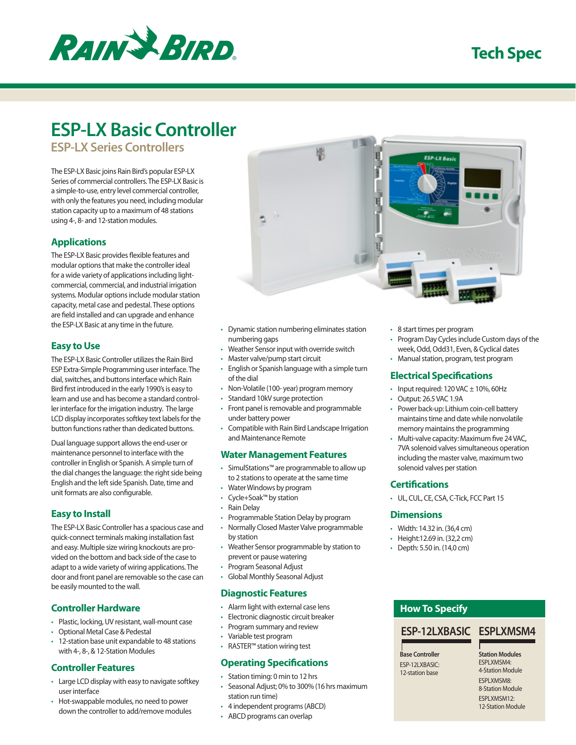

# **Tech Spec**

# **ESP-LX Basic Controller**

**ESP-LX Series Controllers**

The ESP-LX Basic joins Rain Bird's popular ESP-LX Series of commercial controllers. The ESP-LX Basic is a simple-to-use, entry level commercial controller, with only the features you need, including modular station capacity up to a maximum of 48 stations using 4-, 8- and 12-station modules.

# **Applications**

The ESP-LX Basic provides flexible features and modular options that make the controller ideal for a wide variety of applications including lightcommercial, commercial, and industrial irrigation systems. Modular options include modular station capacity, metal case and pedestal. These options are field installed and can upgrade and enhance the ESP-LX Basic at any time in the future.

#### **Easy to Use**

The ESP-LX Basic Controller utilizes the Rain Bird ESP Extra-Simple Programming user interface. The dial, switches, and buttons interface which Rain Bird first introduced in the early 1990's is easy to learn and use and has become a standard controller interface for the irrigation industry. The large LCD display incorporates softkey text labels for the button functions rather than dedicated buttons.

Dual language support allows the end-user or maintenance personnel to interface with the controller in English or Spanish. A simple turn of the dial changes the language: the right side being English and the left side Spanish. Date, time and unit formats are also configurable.

# **Easy to Install**

The ESP-LX Basic Controller has a spacious case and quick-connect terminals making installation fast and easy. Multiple size wiring knockouts are provided on the bottom and back side of the case to adapt to a wide variety of wiring applications. The door and front panel are removable so the case can be easily mounted to the wall.

# **Controller Hardware**

- • Plastic, locking, UV resistant, wall-mount case
- • Optional Metal Case & Pedestal
- • 12-station base unit expandable to 48 stations with 4-, 8-, & 12-Station Modules

#### **Controller Features**

- Large LCD display with easy to navigate softkey user interface
- Hot-swappable modules, no need to power down the controller to add/remove modules



百重

E

- • Dynamic station numbering eliminates station numbering gaps
- • Weather Sensor input with override switch
- • Master valve/pump start circuit
- English or Spanish language with a simple turn of the dial
- • Non-Volatile (100- year) program memory
- • Standard 10kV surge protection
- • Front panel is removable and programmable under battery power
- • Compatible with Rain Bird Landscape Irrigation and Maintenance Remote

#### **Water Management Features**

- • SimulStations™ are programmable to allow up to 2 stations to operate at the same time
- • Water Windows by program
- • Cycle+Soak™ by station
- • Rain Delay
- • Programmable Station Delay by program
- • Normally Closed Master Valve programmable by station
- • Weather Sensor programmable by station to prevent or pause watering
- • Program Seasonal Adjust
- • Global Monthly Seasonal Adjust

#### **Diagnostic Features**

- • Alarm light with external case lens
- • Electronic diagnostic circuit breaker
- • Program summary and review
- • Variable test program • RASTER™ station wiring test

# **Operating Specifications**

- • Station timing: 0 min to 12 hrs
- • Seasonal Adjust; 0% to 300% (16 hrs maximum station run time)
- • 4 independent programs (ABCD)
- • ABCD programs can overlap

• 8 start times per program

**ESP-LX Bosh** 

- • Program Day Cycles include Custom days of the week, Odd, Odd31, Even, & Cyclical dates
- • Manual station, program, test program

# **Electrical Specifications**

- Input required:  $120$  VAC  $\pm$  10%, 60Hz
- • Output: 26.5 VAC 1.9A
- Power back-up: Lithium coin-cell battery maintains time and date while nonvolatile memory maintains the programming
- Multi-valve capacity: Maximum five 24 VAC, 7VA solenoid valves simultaneous operation including the master valve, maximum two solenoid valves per station

#### **Certifications**

• UL, CUL, CE, CSA, C-Tick, FCC Part 15

#### **Dimensions**

- • Width: 14.32 in. (36,4 cm)
- • Height:12.69 in. (32,2 cm)
- • Depth: 5.50 in. (14,0 cm)

# **How To Specify**

# **ESP-12LXBASIC ESPLXMSM4**

**Base Controller FSP-12LXBASIC:** 12-station base

**Station Modules** ESPLXMSM4: 4-Station Module **FSPLXMSM8:** 8-Station Module ESPLXMSM12: 12-Station Module